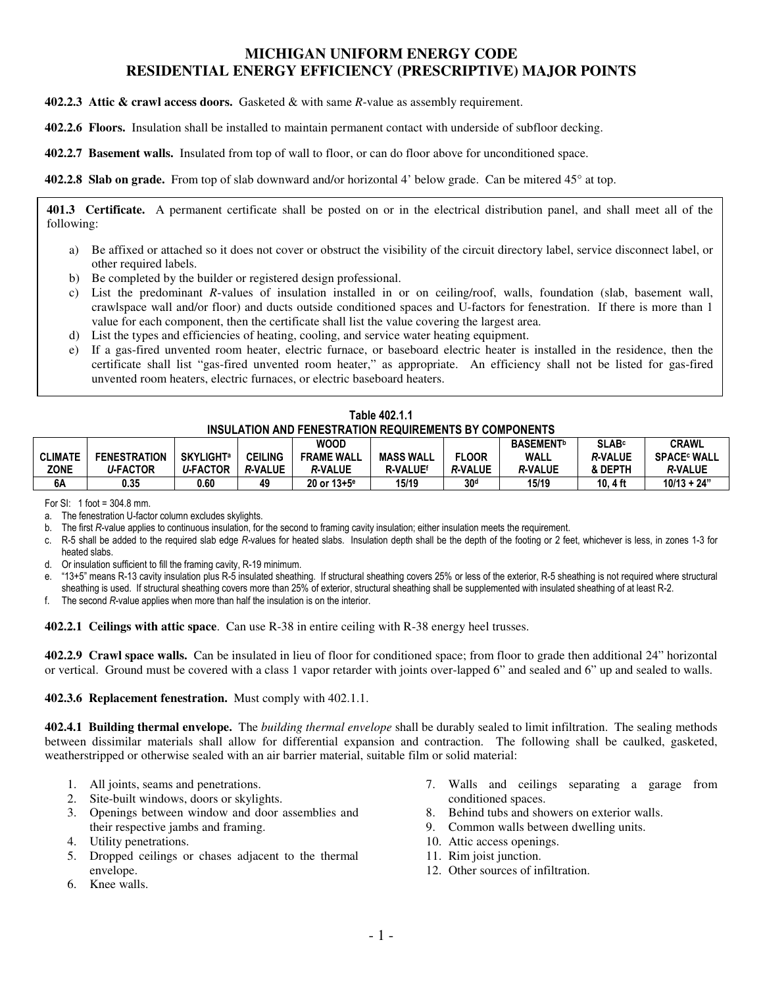## **MICHIGAN UNIFORM ENERGY CODE RESIDENTIAL ENERGY EFFICIENCY (PRESCRIPTIVE) MAJOR POINTS**

**402.2.3 Attic & crawl access doors.** Gasketed & with same *R*-value as assembly requirement.

**402.2.6 Floors.** Insulation shall be installed to maintain permanent contact with underside of subfloor decking.

**402.2.7 Basement walls.** Insulated from top of wall to floor, or can do floor above for unconditioned space.

**402.2.8 Slab on grade.** From top of slab downward and/or horizontal 4' below grade. Can be mitered 45° at top.

**401.3 Certificate.** A permanent certificate shall be posted on or in the electrical distribution panel, and shall meet all of the following:

- a) Be affixed or attached so it does not cover or obstruct the visibility of the circuit directory label, service disconnect label, or other required labels.
- b) Be completed by the builder or registered design professional.
- c) List the predominant *R*-values of insulation installed in or on ceiling/roof, walls, foundation (slab, basement wall, crawlspace wall and/or floor) and ducts outside conditioned spaces and U-factors for fenestration. If there is more than 1 value for each component, then the certificate shall list the value covering the largest area.
- d) List the types and efficiencies of heating, cooling, and service water heating equipment.
- e) If a gas-fired unvented room heater, electric furnace, or baseboard electric heater is installed in the residence, then the certificate shall list "gas-fired unvented room heater," as appropriate. An efficiency shall not be listed for gas-fired unvented room heaters, electric furnaces, or electric baseboard heaters.

| Table 402.1.1                                          |
|--------------------------------------------------------|
| INSULATION AND FENESTRATION REQUIREMENTS BY COMPONENTS |

|                |                     |                             |                | <b>WOOD</b>                 |                             |                 | <b>BASEMENT</b> <sup>b</sup> | <b>SLAB<sup>c</sup></b> | <b>CRAWL</b>                  |
|----------------|---------------------|-----------------------------|----------------|-----------------------------|-----------------------------|-----------------|------------------------------|-------------------------|-------------------------------|
| <b>CLIMATE</b> | <b>FENESTRATION</b> | <b>SKYLIGHT<sup>a</sup></b> | <b>CEILING</b> | <b>FRAME WALL</b>           | <b>MASS WALL</b>            | <b>FLOOR</b>    | WALL                         | <b>R-VALUE</b>          | <b>SPACE<sup>c</sup> WALL</b> |
| <b>ZONE</b>    | <b>U-FACTOR</b>     | <b>U-FACTOR</b>             | <b>R-VALUE</b> | <b>R-VALUE</b>              | <b>R-VALUE</b> <sup>f</sup> | <b>R-VALUE</b>  | <b>R-VALUE</b>               | & DEPTH                 | <b>R-VALUE</b>                |
| 6A             | 0.35                | 0.60                        | 49             | $20$ or $13+5$ <sup>e</sup> | 15/19                       | 30 <sup>d</sup> | 15/19                        | 10.4 ft                 | $10/13 + 24"$                 |

For SI: 1 foot = 304.8 mm.

a. The fenestration U-factor column excludes skylights.

b. The first R-value applies to continuous insulation, for the second to framing cavity insulation; either insulation meets the requirement.

- c. R-5 shall be added to the required slab edge R-values for heated slabs. Insulation depth shall be the depth of the footing or 2 feet, whichever is less, in zones 1-3 for heated slabs.
- d. Or insulation sufficient to fill the framing cavity, R-19 minimum.
- e. "13+5" means R-13 cavity insulation plus R-5 insulated sheathing. If structural sheathing covers 25% or less of the exterior, R-5 sheathing is not required where structural sheathing is used. If structural sheathing covers more than 25% of exterior, structural sheathing shall be supplemented with insulated sheathing of at least R-2.

f. The second  $R$ -value applies when more than half the insulation is on the interior.

**402.2.1 Ceilings with attic space**. Can use R-38 in entire ceiling with R-38 energy heel trusses.

**402.2.9 Crawl space walls.** Can be insulated in lieu of floor for conditioned space; from floor to grade then additional 24" horizontal or vertical. Ground must be covered with a class 1 vapor retarder with joints over-lapped 6" and sealed and 6" up and sealed to walls.

**402.3.6 Replacement fenestration.** Must comply with 402.1.1.

**402.4.1 Building thermal envelope.** The *building thermal envelope* shall be durably sealed to limit infiltration. The sealing methods between dissimilar materials shall allow for differential expansion and contraction. The following shall be caulked, gasketed, weatherstripped or otherwise sealed with an air barrier material, suitable film or solid material:

- 1. All joints, seams and penetrations.
- 2. Site-built windows, doors or skylights.
- 3. Openings between window and door assemblies and their respective jambs and framing.
- 4. Utility penetrations.
- 5. Dropped ceilings or chases adjacent to the thermal envelope.
- 7. Walls and ceilings separating a garage from conditioned spaces.
- 8. Behind tubs and showers on exterior walls.
- 9. Common walls between dwelling units.
- 10. Attic access openings.
- 11. Rim joist junction.
- 12. Other sources of infiltration.

6. Knee walls.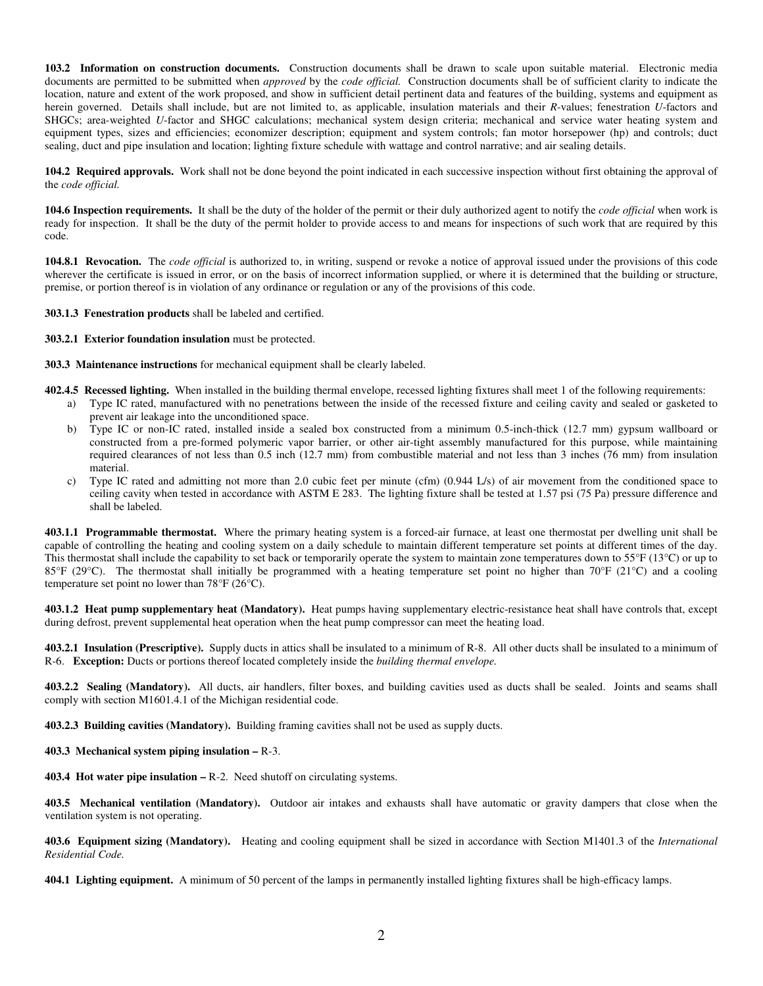**103.2 Information on construction documents.** Construction documents shall be drawn to scale upon suitable material. Electronic media documents are permitted to be submitted when *approved* by the *code official.* Construction documents shall be of sufficient clarity to indicate the location, nature and extent of the work proposed, and show in sufficient detail pertinent data and features of the building, systems and equipment as herein governed. Details shall include, but are not limited to, as applicable, insulation materials and their *R*-values; fenestration *U*-factors and SHGCs; area-weighted *U*-factor and SHGC calculations; mechanical system design criteria; mechanical and service water heating system and equipment types, sizes and efficiencies; economizer description; equipment and system controls; fan motor horsepower (hp) and controls; duct sealing, duct and pipe insulation and location; lighting fixture schedule with wattage and control narrative; and air sealing details.

**104.2 Required approvals.** Work shall not be done beyond the point indicated in each successive inspection without first obtaining the approval of the *code official.* 

**104.6 Inspection requirements.** It shall be the duty of the holder of the permit or their duly authorized agent to notify the *code official* when work is ready for inspection. It shall be the duty of the permit holder to provide access to and means for inspections of such work that are required by this code.

**104.8.1 Revocation.** The *code official* is authorized to, in writing, suspend or revoke a notice of approval issued under the provisions of this code wherever the certificate is issued in error, or on the basis of incorrect information supplied, or where it is determined that the building or structure, premise, or portion thereof is in violation of any ordinance or regulation or any of the provisions of this code.

**303.1.3 Fenestration products** shall be labeled and certified.

**303.2.1 Exterior foundation insulation** must be protected.

**303.3 Maintenance instructions** for mechanical equipment shall be clearly labeled.

- **402.4.5 Recessed lighting.** When installed in the building thermal envelope, recessed lighting fixtures shall meet 1 of the following requirements: a) Type IC rated, manufactured with no penetrations between the inside of the recessed fixture and ceiling cavity and sealed or gasketed to prevent air leakage into the unconditioned space.
	- b) Type IC or non-IC rated, installed inside a sealed box constructed from a minimum 0.5-inch-thick (12.7 mm) gypsum wallboard or constructed from a pre-formed polymeric vapor barrier, or other air-tight assembly manufactured for this purpose, while maintaining required clearances of not less than 0.5 inch (12.7 mm) from combustible material and not less than 3 inches (76 mm) from insulation material.
	- c) Type IC rated and admitting not more than 2.0 cubic feet per minute (cfm) (0.944 L/s) of air movement from the conditioned space to ceiling cavity when tested in accordance with ASTM E 283. The lighting fixture shall be tested at 1.57 psi (75 Pa) pressure difference and shall be labeled.

**403.1.1 Programmable thermostat.** Where the primary heating system is a forced-air furnace, at least one thermostat per dwelling unit shall be capable of controlling the heating and cooling system on a daily schedule to maintain different temperature set points at different times of the day. This thermostat shall include the capability to set back or temporarily operate the system to maintain zone temperatures down to  $55^{\circ}$ F (13°C) or up to 85°F (29°C). The thermostat shall initially be programmed with a heating temperature set point no higher than 70°F (21°C) and a cooling temperature set point no lower than 78°F (26°C).

**403.1.2 Heat pump supplementary heat (Mandatory).** Heat pumps having supplementary electric-resistance heat shall have controls that, except during defrost, prevent supplemental heat operation when the heat pump compressor can meet the heating load.

**403.2.1 Insulation (Prescriptive).** Supply ducts in attics shall be insulated to a minimum of R-8. All other ducts shall be insulated to a minimum of R-6. **Exception:** Ducts or portions thereof located completely inside the *building thermal envelope.* 

**403.2.2 Sealing (Mandatory).** All ducts, air handlers, filter boxes, and building cavities used as ducts shall be sealed. Joints and seams shall comply with section M1601.4.1 of the Michigan residential code.

**403.2.3 Building cavities (Mandatory).** Building framing cavities shall not be used as supply ducts.

## **403.3 Mechanical system piping insulation –** R-3.

**403.4 Hot water pipe insulation –** R-2. Need shutoff on circulating systems.

**403.5 Mechanical ventilation (Mandatory).** Outdoor air intakes and exhausts shall have automatic or gravity dampers that close when the ventilation system is not operating.

**403.6 Equipment sizing (Mandatory).** Heating and cooling equipment shall be sized in accordance with Section M1401.3 of the *International Residential Code.*

**404.1 Lighting equipment.** A minimum of 50 percent of the lamps in permanently installed lighting fixtures shall be high-efficacy lamps.